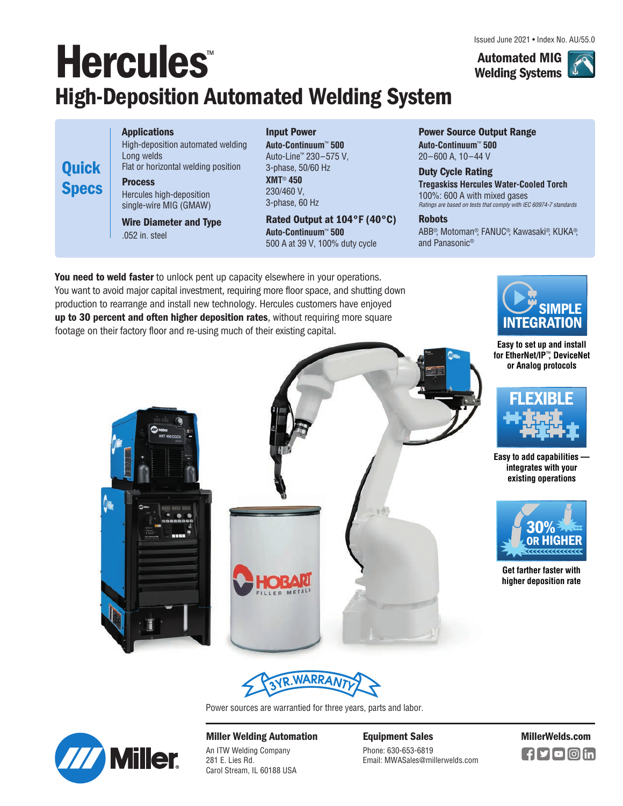# **Hercules**™ **High-Deposition Automated Welding System**

**Applications** High-deposition automated welding Long welds Flat or horizontal welding position **Process** Hercules high-deposition

**Wire Diameter and Type**  .052 in. steel

single-wire MIG (GMAW)

**Quick**

**Specs**

**Input Power Auto-Continuum**™ **500** Auto-Line™ 230–575 V, 3-phase, 50/60 Hz **XMT**® **450** 230/460 V, 3-phase, 60 Hz

**Rated Output at 104°F (40°C) Auto-Continuum**™ **500** 500 A at 39 V, 100% duty cycle

**Power Source Output Range Auto-Continuum**™ **500** 20–600 A, 10–44 V

**Duty Cycle Rating Tregaskiss Hercules Water-Cooled Torch** 100%: 600 A with mixed gases Ratings are based on tests that comply with IEC 60974-7 standards

**Robots**

ABB®, Motoman®, FANUC®, Kawasaki®, KUKA®, and Panasonic®

**You need to weld faster** to unlock pent up capacity elsewhere in your operations. You want to avoid major capital investment, requiring more floor space, and shutting down production to rearrange and install new technology. Hercules customers have enjoyed **up to 30 percent and often higher deposition rates**, without requiring more square footage on their factory floor and re-using much of their existing capital.



**Easy to set up and install for EtherNet/IP**™**, DeviceNet or Analog protocols**



**Easy to add capabilities integrates with your existing operations**



**Get farther faster with higher deposition rate**







Power sources are warrantied for three years, parts and labor.



**Miller Welding Automation**

An ITW Welding Company 281 E. Lies Rd. Carol Stream, IL 60188 USA **Equipment Sales MillerWelds.com**

Phone: 630-653-6819 Email: MWASales@millerwelds.com  $\blacksquare$ f $\blacksquare$ f $\blacksquare$ f $\blacksquare$ 

Issued June 2021 • Index No. AU/55.0

**Automated MIG Welding Systems**

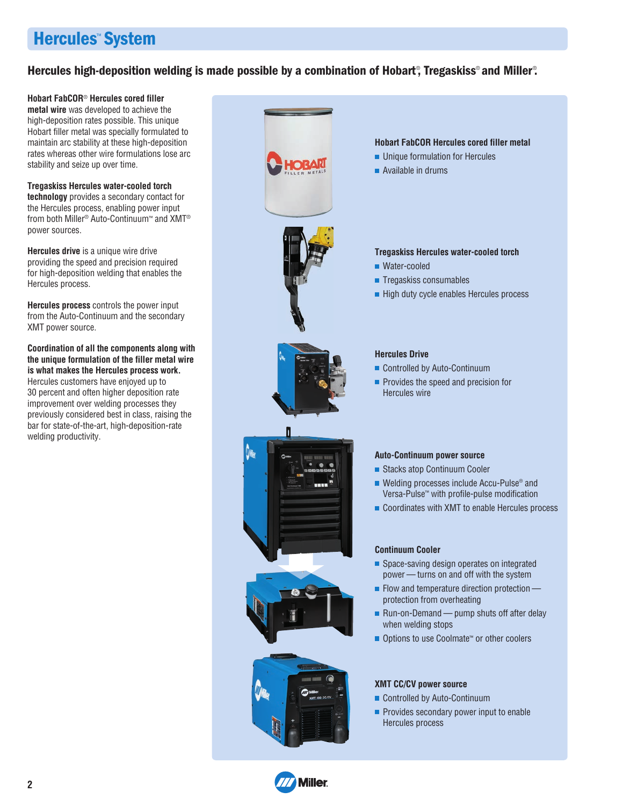# **Hercules**™ **System**

### Hercules high-deposition welding is made possible by a combination of Hobart<sup>®</sup>, Tregaskiss® and Miller®.

#### **Hobart FabCOR**® **Hercules cored filler**

**metal wire** was developed to achieve the high-deposition rates possible. This unique Hobart filler metal was specially formulated to maintain arc stability at these high-deposition rates whereas other wire formulations lose arc stability and seize up over time.

#### **Tregaskiss Hercules water-cooled torch**

**technology** provides a secondary contact for the Hercules process, enabling power input from both Miller® Auto-Continuum™ and XMT® power sources.

**Hercules drive** is a unique wire drive providing the speed and precision required for high-deposition welding that enables the Hercules process.

**Hercules process** controls the power input from the Auto-Continuum and the secondary XMT power source.

**Coordination of all the components along with the unique formulation of the filler metal wire is what makes the Hercules process work.** Hercules customers have enjoyed up to 30 percent and often higher deposition rate improvement over welding processes they previously considered best in class, raising the bar for state-of-the-art, high-deposition-rate welding productivity.



- Controlled by Auto-Continuum
- $\blacksquare$  Provides secondary power input to enable Hercules process

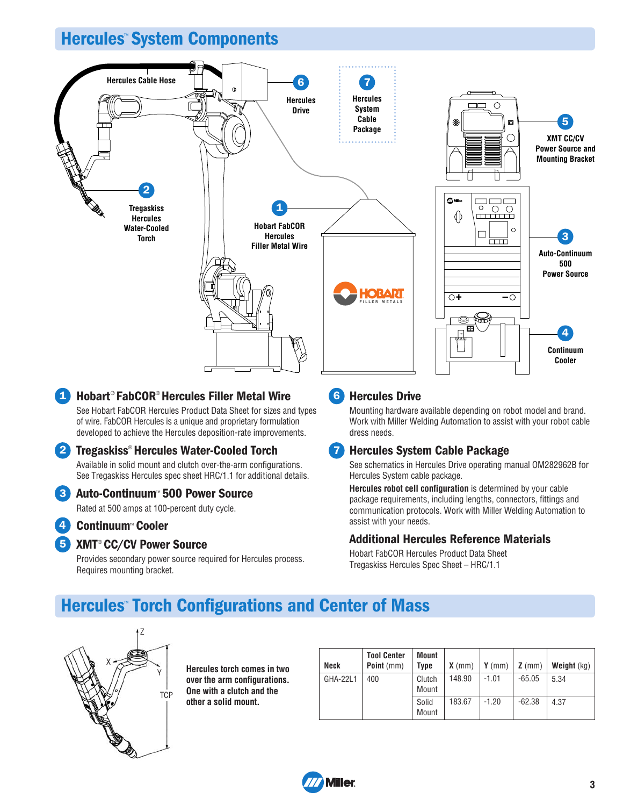# **Hercules**™ **System Components**



## **1** Hobart<sup>®</sup> FabCOR<sup>®</sup> Hercules Filler Metal Wire See Hobart FabCOR Hercules Product Data Sheet for sizes and types

of wire. FabCOR Hercules is a unique and proprietary formulation developed to achieve the Hercules deposition-rate improvements.

## **Tregaskiss**®  **Hercules Water-Cooled Torch 2**

Available in solid mount and clutch over-the-arm configurations. See Tregaskiss Hercules spec sheet HRC/1.1 for additional details.

#### **Auto-Continuum**™  **500 Power Source 3**

Rated at 500 amps at 100-percent duty cycle.

**Continuum**™  **Cooler 4**

#### **5** XMT<sup>®</sup> CC/CV Power Source

Provides secondary power source required for Hercules process. Requires mounting bracket.

## **6** Hercules Drive

Mounting hardware available depending on robot model and brand. Work with Miller Welding Automation to assist with your robot cable dress needs.

#### **Hercules System Cable Package 7**

See schematics in Hercules Drive operating manual OM282962B for Hercules System cable package.

**Hercules robot cell configuration** is determined by your cable package requirements, including lengths, connectors, fittings and communication protocols. Work with Miller Welding Automation to assist with your needs.

#### **Additional Hercules Reference Materials**

Hobart FabCOR Hercules Product Data Sheet Tregaskiss Hercules Spec Sheet – HRC/1.1

# **Hercules**™  **Torch Configurations and Center of Mass**



**Hercules torch comes in two over the arm configurations. One with a clutch and the other a solid mount.**

| Neck     | <b>Tool Center</b><br>Point (mm) | Mount<br><b>Type</b> | $X$ (mm) | $Y$ (mm) | $Z$ (mm) | Weight (kg) |
|----------|----------------------------------|----------------------|----------|----------|----------|-------------|
| GHA-22L1 | 400                              | Clutch<br>Mount      | 148.90   | $-1.01$  | $-65.05$ | 5.34        |
|          |                                  | Solid<br>Mount       | 183.67   | $-1.20$  | $-62.38$ | 4.37        |